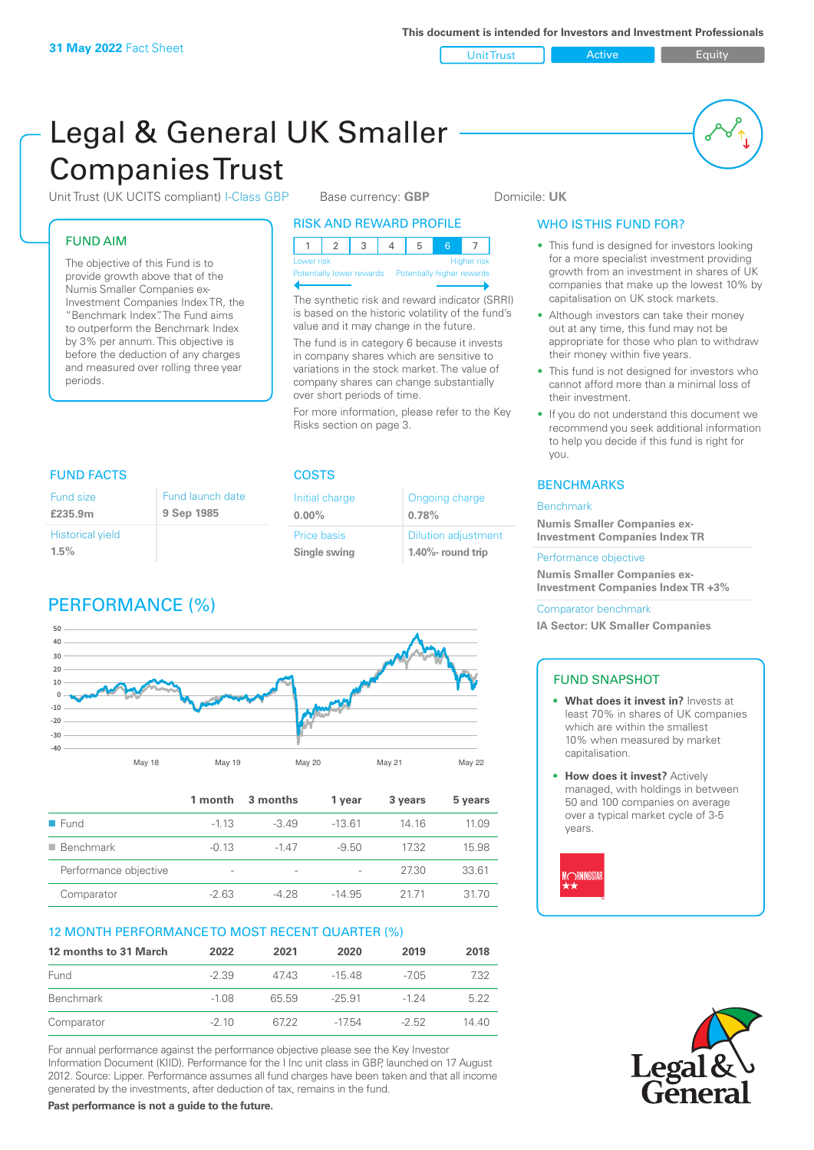Unit Trust **Active Equity** 

# Legal & General UK Smaller Companies Trust

Unit Trust (UK UCITS compliant) I-Class GBP Base currency: **GBP** Domicile: UK

#### FUND AIM

The objective of this Fund is to provide growth above that of the Numis Smaller Companies ex-Investment Companies Index TR, the "Benchmark Index". The Fund aims to outperform the Benchmark Index by 3% per annum. This objective is before the deduction of any charges and measured over rolling three year periods.

| <b>RISK AND REWARD PROFILE</b>   |  |  |  |  |  |  |  |
|----------------------------------|--|--|--|--|--|--|--|
|                                  |  |  |  |  |  |  |  |
| <b>Higher risk</b><br>Lower risk |  |  |  |  |  |  |  |

Potentially lower rewards

The synthetic risk and reward indicator (SRRI) is based on the historic volatility of the fund's value and it may change in the future. The fund is in category 6 because it invests in company shares which are sensitive to variations in the stock market. The value of company shares can change substantially over short periods of time.

For more information, please refer to the Key Risks section on page 3.

> Ongoing charge **0.78%**

Dilution adjustment **1.40%- round trip**

Initial charge **0.00%**

Price basis **Single swing**

### WHO IS THIS FUND FOR?

- This fund is designed for investors looking for a more specialist investment providing growth from an investment in shares of UK companies that make up the lowest 10% by capitalisation on UK stock markets.
- Although investors can take their money out at any time, this fund may not be appropriate for those who plan to withdraw their money within five years.
- This fund is not designed for investors who cannot afford more than a minimal loss of their investment.
- If you do not understand this document we recommend you seek additional information to help you decide if this fund is right for you.

#### **BENCHMARKS**

#### Benchmark

**Numis Smaller Companies ex-Investment Companies Index TR**

#### Performance objective

**Numis Smaller Companies ex-Investment Companies Index TR +3%**

#### Comparator benchmark

**IA Sector: UK Smaller Companies**

#### FUND SNAPSHOT

- **• What does it invest in?** Invests at least 70% in shares of UK companies which are within the smallest 10% when measured by market capitalisation.
- **• How does it invest?** Actively managed, with holdings in between 50 and 100 companies on average over a typical market cycle of 3-5 years.





#### FUND FACTS COSTS

| Fund size                          | Fund launch date |
|------------------------------------|------------------|
| £235.9m                            | 9 Sep 1985       |
| <b>Historical yield</b><br>$1.5\%$ |                  |

# PERFORMANCE (%)



|                       | 1 month                  | 3 months        | 1 year   | 3 years | 5 years |
|-----------------------|--------------------------|-----------------|----------|---------|---------|
| $\blacksquare$ Fund   | $-113$                   | $-3.49$         | $-1361$  | 14.16   | 11.09   |
| <b>Benchmark</b>      | $-0.13$                  | -147            | $-9.50$  | 1732    | 15.98   |
| Performance objective | $\overline{\phantom{a}}$ | $\qquad \qquad$ |          | 27.30   | 33.61   |
| Comparator            | $-2.63$                  | $-4.28$         | $-14.95$ | 2171    | 31.70   |

#### 12 MONTH PERFORMANCE TO MOST RECENT QUARTER (%)

| 12 months to 31 March | 2022    | 2021  | 2020     | 2019    | 2018  |
|-----------------------|---------|-------|----------|---------|-------|
| Fund                  | $-2.39$ | 4743  | -15.48   | $-705$  | 7.32  |
| Benchmark             | $-1.08$ | 65 59 | $-25.91$ | $-124$  | 5.22  |
| Comparator            | $-210$  | 6722  | $-1754$  | $-2.52$ | 14 40 |

For annual performance against the performance objective please see the Key Investor Information Document (KIID). Performance for the I Inc unit class in GBP, launched on 17 August 2012. Source: Lipper. Performance assumes all fund charges have been taken and that all income generated by the investments, after deduction of tax, remains in the fund.

**Past performance is not a guide to the future.**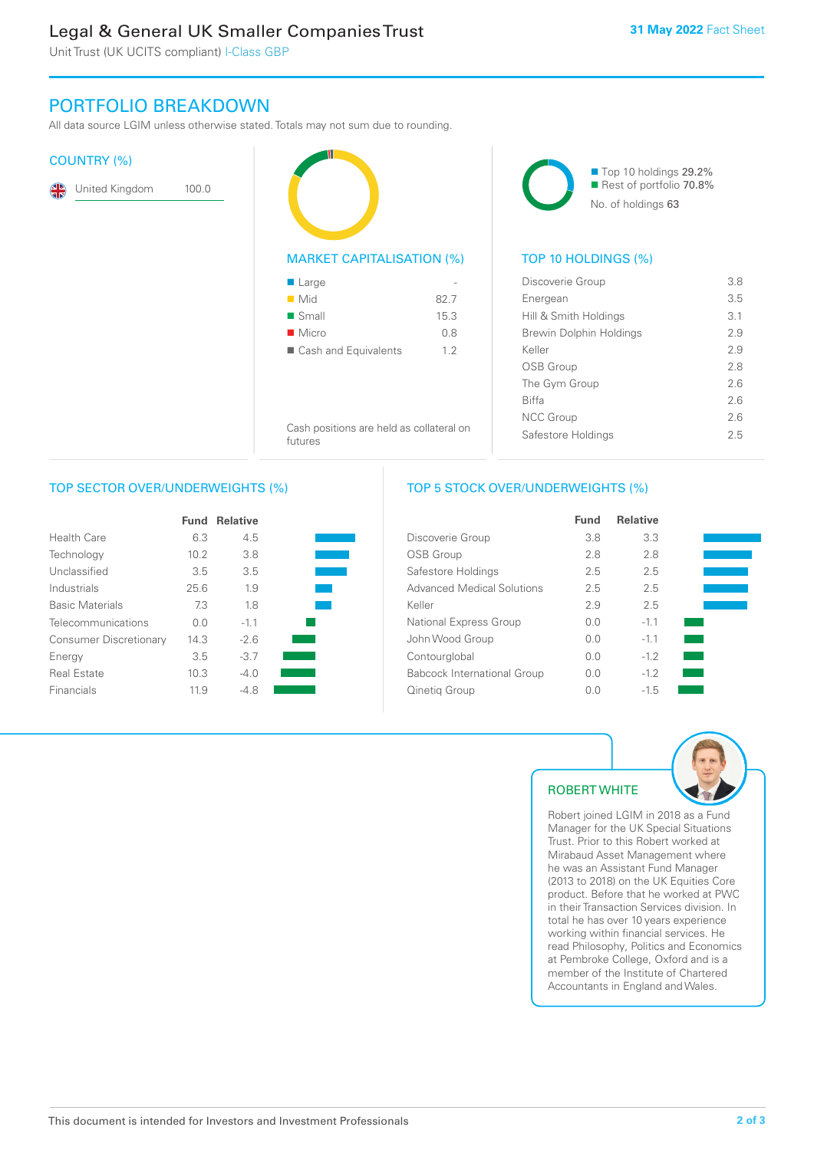# Legal & General UK Smaller Companies Trust

Unit Trust (UK UCITS compliant) I-Class GBP

## PORTFOLIO BREAKDOWN

All data source LGIM unless otherwise stated. Totals may not sum due to rounding.

#### COUNTRY (%)

|  | United Kingdom | 100.0 |
|--|----------------|-------|
|--|----------------|-------|



■ Cash and Equivalents 1.2

Cash positions are held as collateral on

Top 10 holdings 29.2% Rest of portfolio 70.8% No. of holdings 63

#### TOP 10 HOLDINGS (%)

| Discoverie Group        | 3.8 |
|-------------------------|-----|
| Energean                | 3.5 |
| Hill & Smith Holdings   | 3.1 |
| Brewin Dolphin Holdings | 2.9 |
| Keller                  | 2.9 |
| OSB Group               | 2.8 |
| The Gym Group           | 2.6 |
| <b>Biffa</b>            | 26  |
| <b>NCC Group</b>        | 26  |
| Safestore Holdings      | 25  |
|                         |     |

futures

#### TOP SECTOR OVER/UNDERWEIGHTS (%)

|                               | <b>Fund</b> | <b>Relative</b> |  |
|-------------------------------|-------------|-----------------|--|
| Health Care                   | 6.3         | 4.5             |  |
| Technology                    | 10.2        | 3.8             |  |
| Unclassified                  | 3.5         | 3.5             |  |
| Industrials                   | 25.6        | 1.9             |  |
| <b>Basic Materials</b>        | 7.3         | 18              |  |
| Telecommunications            | 0.0         | $-1.1$          |  |
| <b>Consumer Discretionary</b> | 14.3        | $-2.6$          |  |
| Energy                        | 3.5         | $-3.7$          |  |
| <b>Real Estate</b>            | 10.3        | $-4.0$          |  |
| Financials                    | 11.9        | -48             |  |

#### TOP 5 STOCK OVER/UNDERWEIGHTS (%)

|                                    | <b>Fund</b> | <b>Relative</b> |  |
|------------------------------------|-------------|-----------------|--|
| Discoverie Group                   | 3.8         | 3.3             |  |
| <b>OSB Group</b>                   | 2.8         | 2.8             |  |
| Safestore Holdings                 | 2.5         | 2.5             |  |
| <b>Advanced Medical Solutions</b>  | 2.5         | 2.5             |  |
| Keller                             | 2.9         | 2.5             |  |
| National Express Group             | 0.0         | $-1.1$          |  |
| John Wood Group                    | 0.0         | $-1.1$          |  |
| Contourglobal                      | 0.0         | $-1.2$          |  |
| <b>Babcock International Group</b> | 0.0         | $-1.2$          |  |
| Qinetig Group                      | 0.0         | $-1.5$          |  |



### ROBERT WHITE

Robert joined LGIM in 2018 as a Fund Manager for the UK Special Situations Trust. Prior to this Robert worked at Mirabaud Asset Management where he was an Assistant Fund Manager (2013 to 2018) on the UK Equities Core product. Before that he worked at PWC in their Transaction Services division. In total he has over 10 years experience working within financial services. He read Philosophy, Politics and Economics at Pembroke College, Oxford and is a member of the Institute of Chartered Accountants in England and Wales.